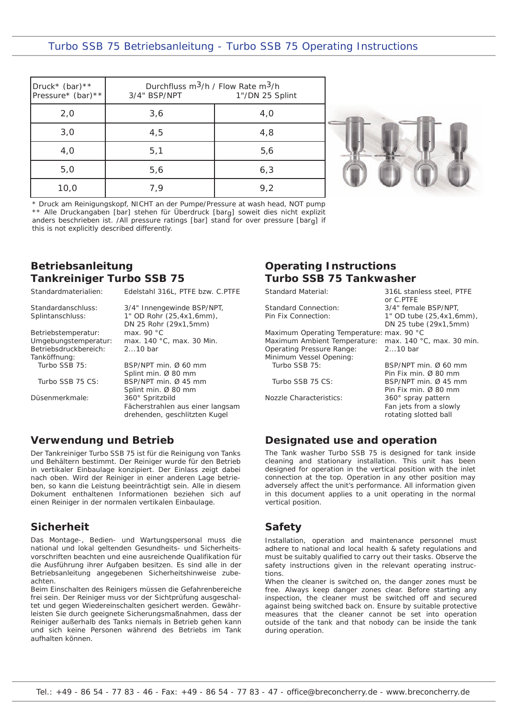#### Tanköffnung: Turbo SSB 75: BSP/NPT min. Ø 60 mm

Düsenmerkmale:

**Betriebsanleitung** 

Standardmaterialien: Standardanschluss: Splintanschluss:

Betriebstemperatur: Umgebungstemperatur: Betriebsdruckbereich:

Turbo SSB 75 CS:

Druck\* (bar)\*\*

**Tankreiniger Turbo SSB 75**

this is not explicitly described differently.

**Verwendung und Betrieb**

Der Tankreiniger Turbo SSB 75 ist für die Reinigung von Tanks und Behältern bestimmt. Der Reiniger wurde für den Betrieb in vertikaler Einbaulage konzipiert. Der Einlass zeigt dabei nach oben. Wird der Reiniger in einer anderen Lage betrieben, so kann die Leistung beeinträchtigt sein. Alle in diesem Dokument enthaltenen Informationen beziehen sich auf einen Reiniger in der normalen vertikalen Einbaulage.

# **Sicherheit**

Das Montage-, Bedien- und Wartungspersonal muss die national und lokal geltenden Gesundheits- und Sicherheitsvorschriften beachten und eine ausreichende Qualifikation für die Ausführung ihrer Aufgaben besitzen. Es sind alle in der Betriebsanleitung angegebenen Sicherheitshinweise zubeachten.

Beim Einschalten des Reinigers müssen die Gefahrenbereiche frei sein. Der Reiniger muss vor der Sichtprüfung ausgeschaltet und gegen Wiedereinschalten gesichert werden. Gewährleisten Sie durch geeignete Sicherungsmaßnahmen, dass der Reiniger außerhalb des Tanks niemals in Betrieb gehen kann und sich keine Personen während des Betriebs im Tank aufhalten können.

## **Operating Instructions Turbo SSB 75 Tankwasher**

Standard Material:

Standard Connection: Pin Fix Connection:

Maximum Operating Temperature: max. 90 °C Maximum Ambient Temperature: Operating Pressure Range: Minimum Vessel Opening: Turbo SSB 75:

Turbo SSB 75 CS:

Nozzle Characteristics:

1" OD tube (25,4x1,6mm), DN 25 tube (29x1,5mm) max. 140 °C, max. 30 min. 2...10 bar BSP/NPT min. Ø 60 mm Pin Fix min. Ø 80 mm BSP/NPT min. Ø 45 mm

316L stanless steel, PTFE

3/4" female BSP/NPT,

or C.PTFE

Pin Fix min. Ø 80 mm 360° spray pattern Fan jets from a slowly rotating slotted ball

# **Designated use and operation**

The Tank washer Turbo SSB 75 is designed for tank inside cleaning and stationary installation. This unit has been designed for operation in the vertical position with the inlet connection at the top. Operation in any other position may adversely affect the unit's performance. All information given in this document applies to a unit operating in the normal vertical position.

# **Safety**

Installation, operation and maintenance personnel must adhere to national and local health & safety regulations and must be suitably qualified to carry out their tasks. Observe the safety instructions given in the relevant operating instructions.

When the cleaner is switched on, the danger zones must be free. Always keep danger zones clear. Before starting any inspection, the cleaner must be switched off and secured against being switched back on. Ensure by suitable protective measures that the cleaner cannot be set into operation outside of the tank and that nobody can be inside the tank during operation.

# Turbo SSB 75 Betriebsanleitung - Turbo SSB 75 Operating Instructions

Durchfluss m3/h / Flow Rate m3/h

| Pressure* (bar) **                                                            | 3/4" BSP/NPT | 1"/DN 25 Splint |
|-------------------------------------------------------------------------------|--------------|-----------------|
| 2,0                                                                           | 3,6          | 4,0             |
| 3,0                                                                           | 4,5          | 4,8             |
| 4,0                                                                           | 5,1          | 5,6             |
| 5,0                                                                           | 5,6          | 6,3             |
| 10,0                                                                          | 7.9          | 9,2             |
| * Druck am Reinigungskopf, NICHT an der Pumpe/Pressure at wash head, NOT pump |              |                 |

\*\* Alle Druckangaben [bar] stehen für Überdruck [barg] soweit dies nicht explizit anders beschrieben ist. /All pressure ratings [bar] stand for over pressure [barg] if

Edelstahl 316L, PTFE bzw. C.PTFE

Fächerstrahlen aus einer langsam drehenden, geschlitzten Kugel

3/4" Innengewinde BSP/NPT, 1" OD Rohr (25,4x1,6mm), DN 25 Rohr (29x1,5mm)

max. 140 °C, max. 30 Min.

Splint min. Ø 80 mm BSP/NPT min. Ø 45 mm Splint min. Ø 80 mm 360° Spritzbild

max. 90 °C

2...10 bar